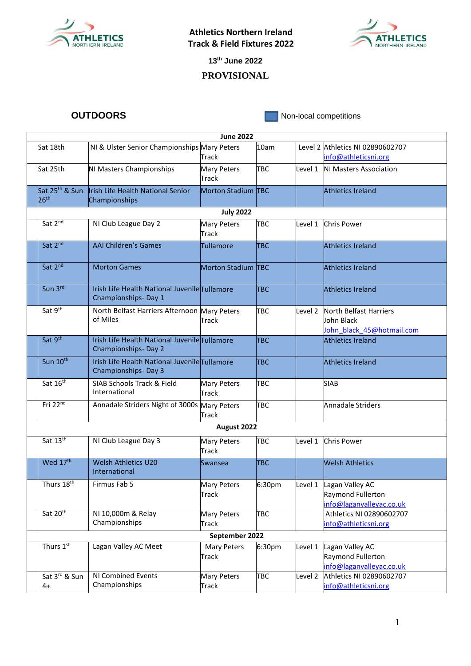

**Athletics Northern Ireland Track & Field Fixtures 2022**



**13th June 2022**

## **PROVISIONAL**

**OUTDOORS** Non-local competitions

| <b>June 2022</b>           |                                                          |                             |            |         |                                  |  |  |  |  |  |
|----------------------------|----------------------------------------------------------|-----------------------------|------------|---------|----------------------------------|--|--|--|--|--|
| Sat 18th                   | NI & Ulster Senior Championships Mary Peters             |                             | 10am       |         | Level 2 Athletics NI 02890602707 |  |  |  |  |  |
|                            |                                                          | Track                       |            |         | info@athleticsni.org             |  |  |  |  |  |
| Sat 25th                   | NI Masters Championships                                 | <b>Mary Peters</b><br>Track | <b>TBC</b> | Level 1 | <b>NI Masters Association</b>    |  |  |  |  |  |
| Sat 25 <sup>th</sup> & Sun | Irish Life Health National Senior                        | Morton Stadium TBC          |            |         | <b>Athletics Ireland</b>         |  |  |  |  |  |
| 26 <sup>th</sup>           | Championships                                            |                             |            |         |                                  |  |  |  |  |  |
| <b>July 2022</b>           |                                                          |                             |            |         |                                  |  |  |  |  |  |
| Sat $2^{\overline{nd}}$    | NI Club League Day 2                                     | <b>Mary Peters</b>          | <b>TBC</b> | Level 1 | <b>Chris Power</b>               |  |  |  |  |  |
|                            |                                                          | Track                       |            |         |                                  |  |  |  |  |  |
| Sat 2nd                    | <b>AAI Children's Games</b>                              | <b>Tullamore</b>            | <b>TBC</b> |         | <b>Athletics Ireland</b>         |  |  |  |  |  |
|                            |                                                          |                             |            |         |                                  |  |  |  |  |  |
| Sat 2nd                    | <b>Morton Games</b>                                      | Morton Stadium TBC          |            |         | <b>Athletics Ireland</b>         |  |  |  |  |  |
|                            |                                                          |                             |            |         |                                  |  |  |  |  |  |
| Sun 3rd                    | Irish Life Health National Juvenile Tullamore            |                             | TBC        |         |                                  |  |  |  |  |  |
|                            | Championships-Day 1                                      |                             |            |         | <b>Athletics Ireland</b>         |  |  |  |  |  |
|                            |                                                          |                             |            |         |                                  |  |  |  |  |  |
| Sat 9th                    | North Belfast Harriers Afternoon Mary Peters<br>of Miles |                             | <b>TBC</b> | Level 2 | North Belfast Harriers           |  |  |  |  |  |
|                            |                                                          | Track                       |            |         | John Black                       |  |  |  |  |  |
| Sat 9th                    | Irish Life Health National Juvenile Tullamore            |                             |            |         | John black 45@hotmail.com        |  |  |  |  |  |
|                            | Championships-Day 2                                      |                             | TBC        |         | <b>Athletics Ireland</b>         |  |  |  |  |  |
| Sun 10th                   | Irish Life Health National Juvenile Tullamore            |                             | <b>TBC</b> |         | <b>Athletics Ireland</b>         |  |  |  |  |  |
|                            | Championships-Day 3                                      |                             |            |         |                                  |  |  |  |  |  |
| Sat 16th                   | SIAB Schools Track & Field                               | Mary Peters                 | <b>TBC</b> |         | <b>SIAB</b>                      |  |  |  |  |  |
|                            | International                                            | Track                       |            |         |                                  |  |  |  |  |  |
| Fri 22nd                   | Annadale Striders Night of 3000s Mary Peters             |                             | <b>TBC</b> |         | Annadale Striders                |  |  |  |  |  |
|                            |                                                          | Track                       |            |         |                                  |  |  |  |  |  |
| August 2022                |                                                          |                             |            |         |                                  |  |  |  |  |  |
| Sat $13^{\overline{th}}$   | NI Club League Day 3                                     | Mary Peters                 | <b>TBC</b> | Level 1 | <b>Chris Power</b>               |  |  |  |  |  |
|                            |                                                          | Track                       |            |         |                                  |  |  |  |  |  |
| Wed 17 <sup>th</sup>       | <b>Welsh Athletics U20</b>                               | Swansea                     | <b>TBC</b> |         | <b>Welsh Athletics</b>           |  |  |  |  |  |
|                            | International                                            |                             |            |         |                                  |  |  |  |  |  |
| Thurs $18^{\text{th}}$     | Firmus Fab 5                                             | <b>Mary Peters</b>          | 6:30pm     | Level 1 | Lagan Valley AC                  |  |  |  |  |  |
|                            |                                                          | Track                       |            |         | Raymond Fullerton                |  |  |  |  |  |
|                            |                                                          |                             |            |         | info@laganvalleyac.co.uk         |  |  |  |  |  |
| Sat 20th                   | NI 10,000m & Relay                                       | Mary Peters                 | <b>TBC</b> |         | Athletics NI 02890602707         |  |  |  |  |  |
|                            | Championships                                            | Track                       |            |         | info@athleticsni.org             |  |  |  |  |  |
|                            |                                                          | September 2022              |            |         |                                  |  |  |  |  |  |
| Thurs 1st                  | Lagan Valley AC Meet                                     | Mary Peters                 | 6:30pm     | Level 1 | Lagan Valley AC                  |  |  |  |  |  |
|                            |                                                          | Track                       |            |         | Raymond Fullerton                |  |  |  |  |  |
|                            |                                                          |                             |            |         | info@laganvalleyac.co.uk         |  |  |  |  |  |
| Sat 3rd & Sun              | NI Combined Events                                       | Mary Peters                 | <b>TBC</b> | Level 2 | Athletics NI 02890602707         |  |  |  |  |  |
| 4 <sub>th</sub>            | Championships                                            | Track                       |            |         | info@athleticsni.org             |  |  |  |  |  |